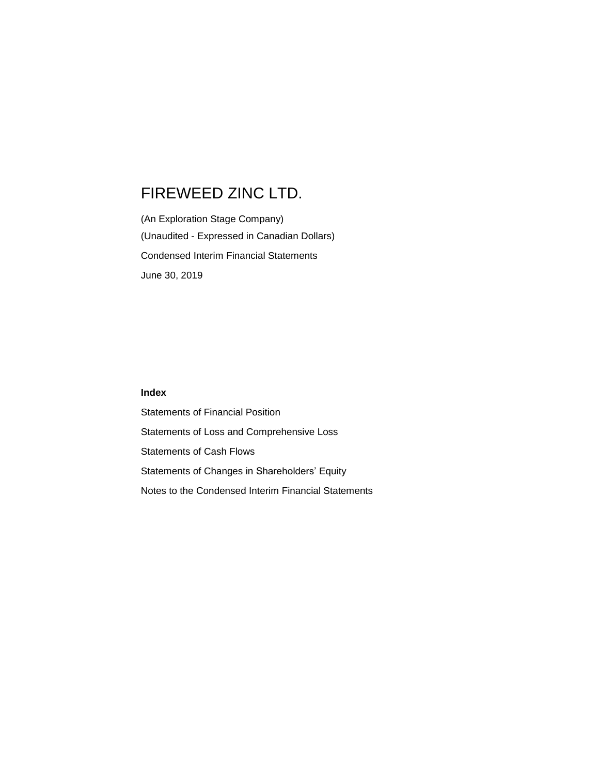(An Exploration Stage Company) (Unaudited - Expressed in Canadian Dollars) Condensed Interim Financial Statements June 30, 2019

## **Index**

Statements of Financial Position Statements of Loss and Comprehensive Loss Statements of Cash Flows Statements of Changes in Shareholders' Equity Notes to the Condensed Interim Financial Statements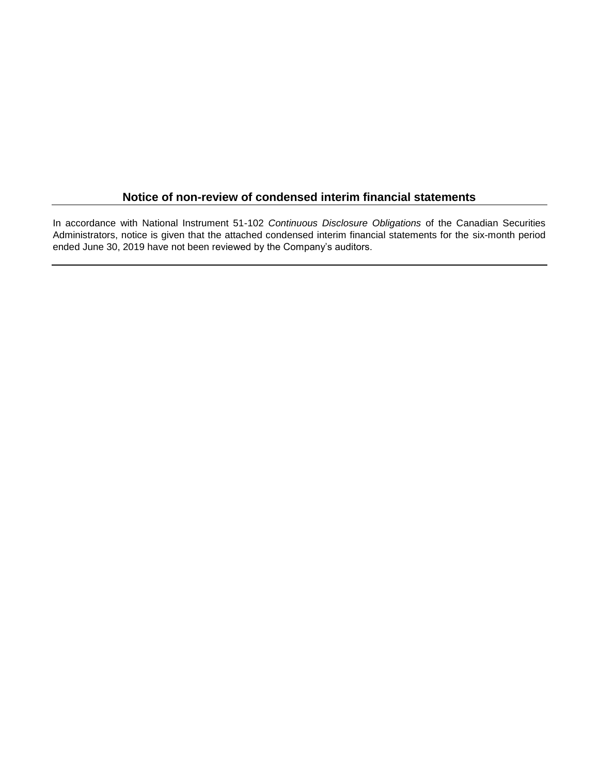## **Notice of non-review of condensed interim financial statements**

In accordance with National Instrument 51-102 *Continuous Disclosure Obligations* of the Canadian Securities Administrators, notice is given that the attached condensed interim financial statements for the six-month period ended June 30, 2019 have not been reviewed by the Company's auditors.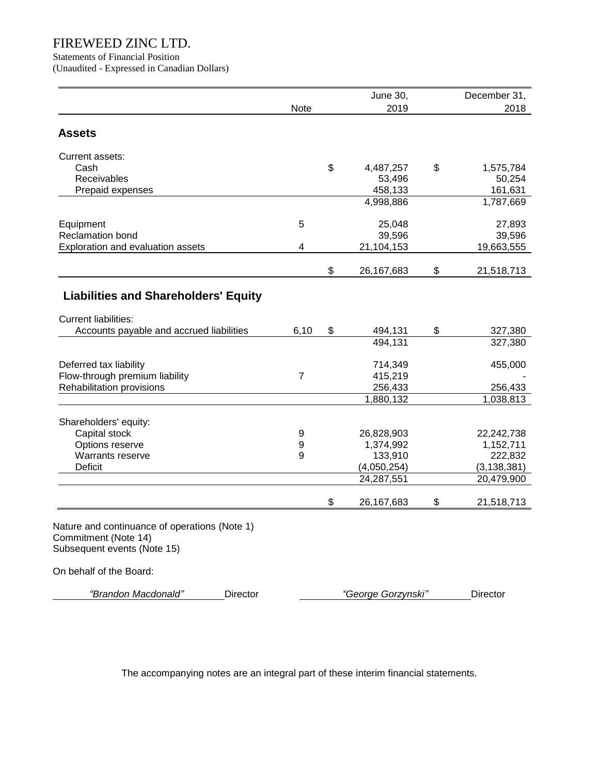Statements of Financial Position

(Unaudited - Expressed in Canadian Dollars)

|                                                                       |                | <b>June 30,</b>    | December 31,     |
|-----------------------------------------------------------------------|----------------|--------------------|------------------|
|                                                                       | Note           | 2019               | 2018             |
| <b>Assets</b>                                                         |                |                    |                  |
| Current assets:                                                       |                |                    |                  |
| Cash                                                                  |                | \$<br>4,487,257    | \$<br>1,575,784  |
| Receivables                                                           |                | 53,496             | 50,254           |
| Prepaid expenses                                                      |                | 458,133            | 161,631          |
|                                                                       |                | 4,998,886          | 1,787,669        |
| Equipment                                                             | 5              | 25,048             | 27,893           |
| <b>Reclamation bond</b>                                               |                | 39,596             | 39,596           |
| Exploration and evaluation assets                                     | 4              | 21,104,153         | 19,663,555       |
|                                                                       |                | \$<br>26, 167, 683 | \$<br>21,518,713 |
| <b>Liabilities and Shareholders' Equity</b>                           |                |                    |                  |
| <b>Current liabilities:</b>                                           |                |                    |                  |
| Accounts payable and accrued liabilities                              | 6,10           | \$<br>494,131      | \$<br>327,380    |
|                                                                       |                | 494,131            | 327,380          |
| Deferred tax liability                                                |                | 714,349            | 455,000          |
| Flow-through premium liability                                        | $\overline{7}$ | 415,219            |                  |
| Rehabilitation provisions                                             |                | 256,433            | 256,433          |
|                                                                       |                | 1,880,132          | 1,038,813        |
| Shareholders' equity:                                                 |                |                    |                  |
| Capital stock                                                         | 9              | 26,828,903         | 22,242,738       |
| Options reserve                                                       | 9              | 1,374,992          | 1,152,711        |
| Warrants reserve                                                      | 9              | 133,910            | 222,832          |
| Deficit                                                               |                | (4,050,254)        | (3, 138, 381)    |
|                                                                       |                | 24,287,551         | 20,479,900       |
|                                                                       |                | \$<br>26,167,683   | \$<br>21,518,713 |
| Nature and continuance of operations (Note 1)<br>Commitment (Note 14) |                |                    |                  |
| Subsequent events (Note 15)                                           |                |                    |                  |
| On behalf of the Board:                                               |                |                    |                  |
| "Brandon Macdonald"<br>Director                                       |                | "George Gorzynski" | Director         |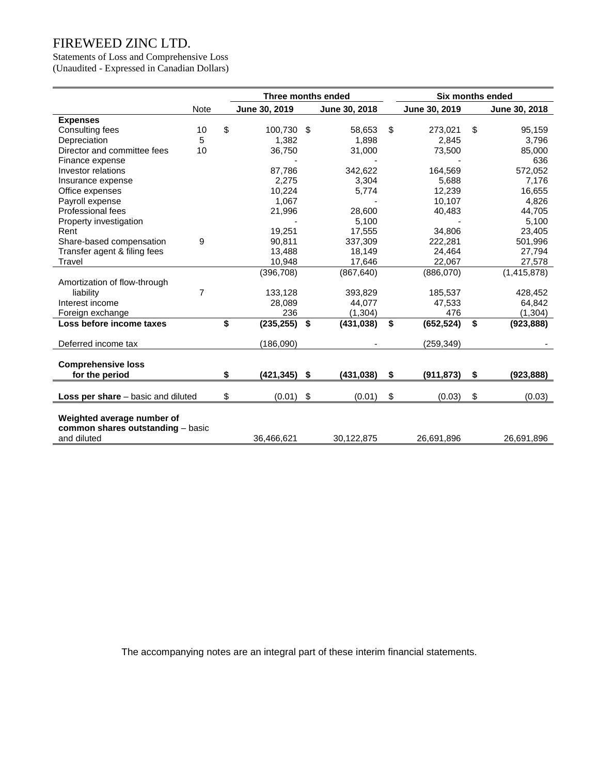Statements of Loss and Comprehensive Loss (Unaudited - Expressed in Canadian Dollars)

|                                                  |                | Three months ended    |      | Six months ended |                  |                  |
|--------------------------------------------------|----------------|-----------------------|------|------------------|------------------|------------------|
|                                                  | <b>Note</b>    | June 30, 2019         |      | June 30, 2018    | June 30, 2019    | June 30, 2018    |
| <b>Expenses</b>                                  |                |                       |      |                  |                  |                  |
| Consulting fees                                  | 10             | \$<br>100.730 \$      |      | 58.653           | \$<br>273,021    | \$<br>95,159     |
| Depreciation                                     | 5              | 1,382                 |      | 1,898            | 2,845            | 3,796            |
| Director and committee fees                      | 10             | 36,750                |      | 31,000           | 73,500           | 85,000           |
| Finance expense                                  |                |                       |      |                  |                  | 636              |
| Investor relations                               |                | 87,786                |      | 342,622          | 164,569          | 572,052          |
| Insurance expense                                |                | 2,275                 |      | 3,304            | 5,688            | 7,176            |
| Office expenses                                  |                | 10,224                |      | 5,774            | 12,239           | 16,655           |
| Payroll expense                                  |                | 1,067                 |      |                  | 10,107           | 4,826            |
| Professional fees                                |                | 21,996                |      | 28,600           | 40,483           | 44,705           |
| Property investigation                           |                |                       |      | 5.100            |                  | 5,100            |
| Rent                                             |                | 19,251                |      | 17,555           | 34,806           | 23,405           |
| Share-based compensation                         | 9              | 90.811                |      | 337,309          | 222,281          | 501,996          |
| Transfer agent & filing fees                     |                | 13,488                |      | 18,149           | 24,464           | 27,794           |
| Travel                                           |                | 10,948                |      | 17,646           | 22,067           | 27,578           |
|                                                  |                | (396, 708)            |      | (867, 640)       | (886,070)        | (1, 415, 878)    |
| Amortization of flow-through                     |                |                       |      |                  |                  |                  |
| liability                                        | $\overline{7}$ | 133,128               |      | 393,829          | 185,537          | 428,452          |
| Interest income                                  |                | 28,089                |      | 44,077           | 47,533           | 64,842           |
| Foreign exchange                                 |                | 236                   |      | (1, 304)         | 476              | (1,304)          |
| Loss before income taxes                         |                | \$<br>(235, 255)      | - \$ | (431, 038)       | \$<br>(652, 524) | \$<br>(923, 888) |
| Deferred income tax                              |                | (186,090)             |      |                  | (259, 349)       |                  |
| <b>Comprehensive loss</b>                        |                |                       |      |                  |                  |                  |
| for the period                                   |                | \$<br>$(421, 345)$ \$ |      | (431, 038)       | \$<br>(911, 873) | \$<br>(923, 888) |
|                                                  |                |                       |      |                  |                  |                  |
| <b>Loss per share</b> – basic and diluted        |                | \$<br>(0.01)          | \$   | (0.01)           | \$<br>(0.03)     | \$<br>(0.03)     |
| Weighted average number of                       |                |                       |      |                  |                  |                  |
| common shares outstanding - basic<br>and diluted |                | 36,466,621            |      | 30,122,875       | 26,691,896       | 26,691,896       |
|                                                  |                |                       |      |                  |                  |                  |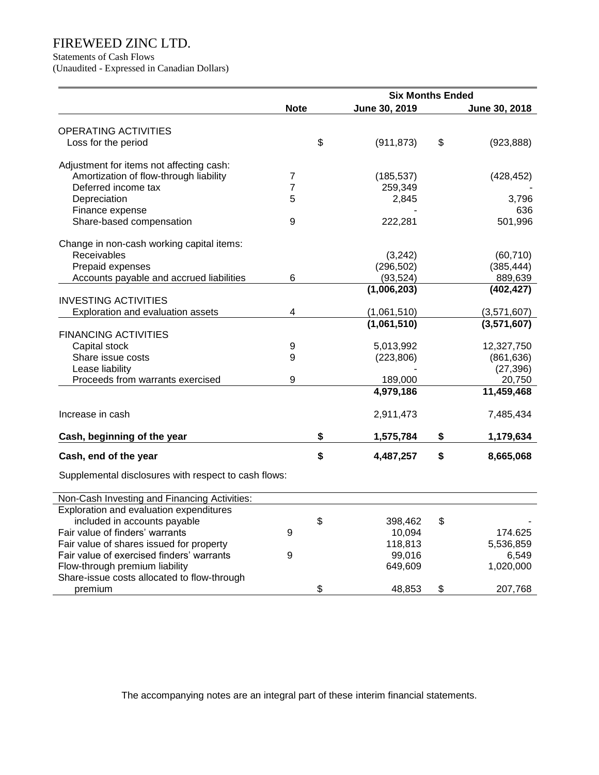Statements of Cash Flows

(Unaudited - Expressed in Canadian Dollars)

|                                                      |             | <b>Six Months Ended</b> |     |               |
|------------------------------------------------------|-------------|-------------------------|-----|---------------|
|                                                      | <b>Note</b> | June 30, 2019           |     | June 30, 2018 |
| <b>OPERATING ACTIVITIES</b>                          |             |                         |     |               |
| Loss for the period                                  | \$          | (911, 873)              | \$  | (923, 888)    |
|                                                      |             |                         |     |               |
| Adjustment for items not affecting cash:             |             |                         |     |               |
| Amortization of flow-through liability               | 7           | (185, 537)              |     | (428, 452)    |
| Deferred income tax                                  | 7           | 259,349                 |     |               |
| Depreciation                                         | 5           | 2,845                   |     | 3,796         |
| Finance expense                                      |             |                         |     | 636           |
| Share-based compensation                             | 9           | 222,281                 |     | 501,996       |
| Change in non-cash working capital items:            |             |                         |     |               |
| Receivables                                          |             | (3,242)                 |     | (60, 710)     |
| Prepaid expenses                                     |             | (296, 502)              |     | (385, 444)    |
| Accounts payable and accrued liabilities             | 6           | (93, 524)               |     | 889,639       |
|                                                      |             | (1,006,203)             |     | (402, 427)    |
| <b>INVESTING ACTIVITIES</b>                          |             |                         |     |               |
| Exploration and evaluation assets                    | 4           | (1,061,510)             |     | (3,571,607)   |
|                                                      |             | (1,061,510)             |     | (3,571,607)   |
| <b>FINANCING ACTIVITIES</b>                          |             |                         |     |               |
| Capital stock                                        | 9           | 5,013,992               |     | 12,327,750    |
| Share issue costs                                    | 9           | (223, 806)              |     | (861, 636)    |
| Lease liability                                      |             |                         |     | (27, 396)     |
| Proceeds from warrants exercised                     | 9           | 189,000                 |     | 20,750        |
|                                                      |             | 4,979,186               |     | 11,459,468    |
| Increase in cash                                     |             | 2,911,473               |     | 7,485,434     |
| Cash, beginning of the year                          | \$          | 1,575,784               | \$  | 1,179,634     |
| Cash, end of the year                                | \$          | 4,487,257               | \$  | 8,665,068     |
| Supplemental disclosures with respect to cash flows: |             |                         |     |               |
| Non-Cash Investing and Financing Activities:         |             |                         |     |               |
| Exploration and evaluation expenditures              |             |                         |     |               |
| included in accounts payable                         | \$.         | 398,462                 | \$. |               |
| Fair value of finders' warrants                      | 9           | 10,094                  |     | 174.625       |
| Fair value of shares issued for property             |             | 118,813                 |     | 5,536,859     |
| Fair value of exercised finders' warrants            | 9           | 99,016                  |     | 6,549         |
| Flow-through premium liability                       |             | 649,609                 |     | 1,020,000     |
| Share-issue costs allocated to flow-through          |             |                         |     |               |
| premium                                              | \$          | 48,853                  | \$  | 207,768       |
|                                                      |             |                         |     |               |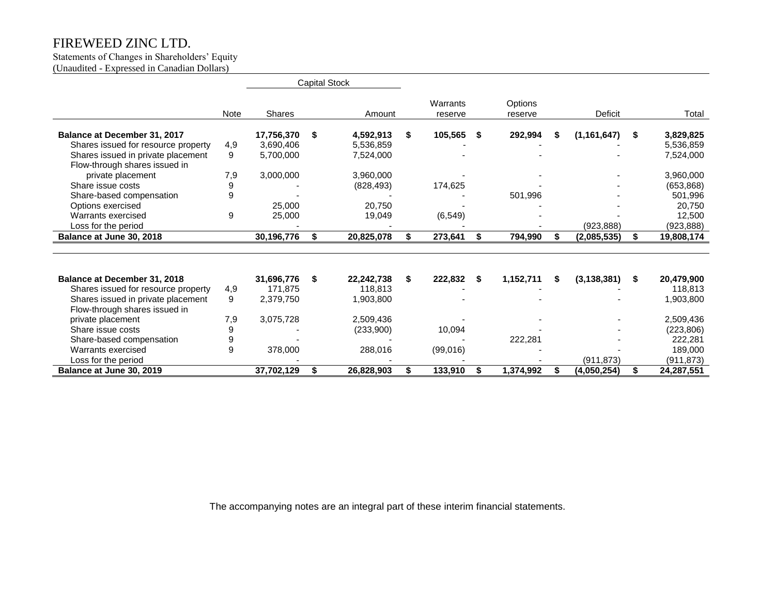#### Statements of Changes in Shareholders' Equity (Unaudited - Expressed in Canadian Dollars)

|                                     |             |            | <b>Capital Stock</b> |            |                     |      |                    |    |                |    |            |
|-------------------------------------|-------------|------------|----------------------|------------|---------------------|------|--------------------|----|----------------|----|------------|
|                                     | <b>Note</b> | Shares     |                      | Amount     | Warrants<br>reserve |      | Options<br>reserve |    | <b>Deficit</b> |    | Total      |
| Balance at December 31, 2017        |             | 17,756,370 | S                    | 4,592,913  | \$<br>105,565       | - \$ | 292,994            | S  | (1, 161, 647)  | \$ | 3,829,825  |
| Shares issued for resource property | 4,9         | 3,690,406  |                      | 5,536,859  |                     |      |                    |    |                |    | 5,536,859  |
| Shares issued in private placement  | 9           | 5,700,000  |                      | 7,524,000  |                     |      |                    |    |                |    | 7,524,000  |
| Flow-through shares issued in       |             |            |                      |            |                     |      |                    |    |                |    |            |
| private placement                   | 7,9         | 3,000,000  |                      | 3,960,000  |                     |      |                    |    |                |    | 3,960,000  |
| Share issue costs                   | 9           |            |                      | (828, 493) | 174,625             |      |                    |    |                |    | (653, 868) |
| Share-based compensation            | 9           |            |                      |            |                     |      | 501,996            |    |                |    | 501,996    |
| Options exercised                   |             | 25,000     |                      | 20,750     |                     |      |                    |    |                |    | 20,750     |
| Warrants exercised                  | 9           | 25,000     |                      | 19,049     | (6, 549)            |      |                    |    |                |    | 12,500     |
| Loss for the period                 |             |            |                      |            |                     |      |                    |    | (923, 888)     |    | (923, 888) |
| Balance at June 30, 2018            |             | 30,196,776 |                      | 20,825,078 | 273,641             | S    | 794,990            | S  | (2,085,535)    | \$ | 19,808,174 |
|                                     |             |            |                      |            |                     |      |                    |    |                |    |            |
| Balance at December 31, 2018        |             | 31,696,776 | S.                   | 22,242,738 | \$<br>222,832       | -S   | 1,152,711          | S  | (3, 138, 381)  | S. | 20,479,900 |
| Shares issued for resource property | 4,9         | 171.875    |                      | 118,813    |                     |      |                    |    |                |    | 118,813    |
| Shares issued in private placement  | 9           | 2,379,750  |                      | 1,903,800  |                     |      |                    |    |                |    | 1,903,800  |
| Flow-through shares issued in       |             |            |                      |            |                     |      |                    |    |                |    |            |
| private placement                   | 7,9         | 3,075,728  |                      | 2,509,436  |                     |      |                    |    |                |    | 2,509,436  |
| Share issue costs                   | 9           |            |                      | (233,900)  | 10,094              |      |                    |    |                |    | (223, 806) |
| Share-based compensation            | 9           |            |                      |            |                     |      | 222,281            |    |                |    | 222,281    |
| Warrants exercised                  | 9           | 378,000    |                      | 288,016    | (99,016)            |      |                    |    |                |    | 189,000    |
| Loss for the period                 |             |            |                      |            |                     |      |                    |    | (911, 873)     |    | (911, 873) |
| Balance at June 30, 2019            |             | 37,702,129 | S                    | 26,828,903 | 133,910             | S    | 1,374,992          | \$ | (4,050,254)    | \$ | 24,287,551 |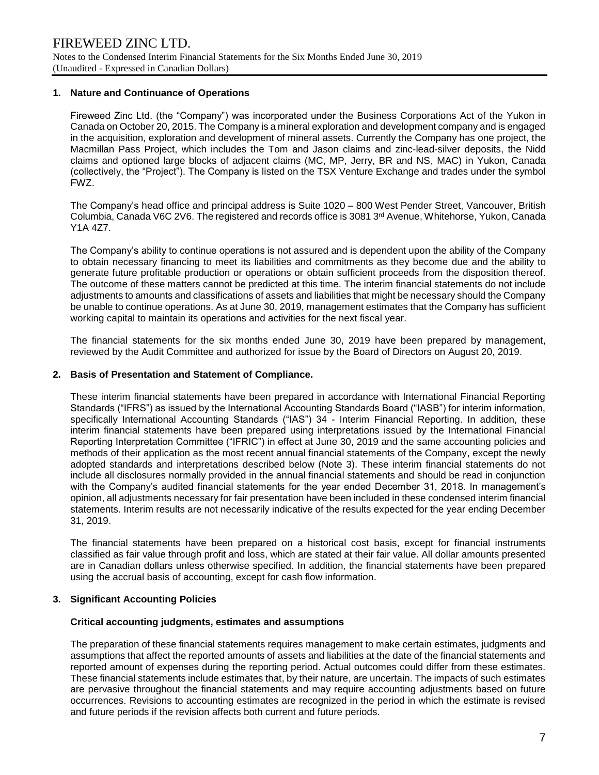## **1. Nature and Continuance of Operations**

Fireweed Zinc Ltd. (the "Company") was incorporated under the Business Corporations Act of the Yukon in Canada on October 20, 2015. The Company is a mineral exploration and development company and is engaged in the acquisition, exploration and development of mineral assets. Currently the Company has one project, the Macmillan Pass Project, which includes the Tom and Jason claims and zinc-lead-silver deposits, the Nidd claims and optioned large blocks of adjacent claims (MC, MP, Jerry, BR and NS, MAC) in Yukon, Canada (collectively, the "Project"). The Company is listed on the TSX Venture Exchange and trades under the symbol FWZ.

The Company's head office and principal address is Suite 1020 – 800 West Pender Street, Vancouver, British Columbia, Canada V6C 2V6. The registered and records office is 3081 3rd Avenue, Whitehorse, Yukon, Canada Y1A 4Z7.

The Company's ability to continue operations is not assured and is dependent upon the ability of the Company to obtain necessary financing to meet its liabilities and commitments as they become due and the ability to generate future profitable production or operations or obtain sufficient proceeds from the disposition thereof. The outcome of these matters cannot be predicted at this time. The interim financial statements do not include adjustments to amounts and classifications of assets and liabilities that might be necessary should the Company be unable to continue operations. As at June 30, 2019, management estimates that the Company has sufficient working capital to maintain its operations and activities for the next fiscal year.

The financial statements for the six months ended June 30, 2019 have been prepared by management, reviewed by the Audit Committee and authorized for issue by the Board of Directors on August 20, 2019.

## **2. Basis of Presentation and Statement of Compliance.**

These interim financial statements have been prepared in accordance with International Financial Reporting Standards ("IFRS") as issued by the International Accounting Standards Board ("IASB") for interim information, specifically International Accounting Standards ("IAS") 34 - Interim Financial Reporting. In addition, these interim financial statements have been prepared using interpretations issued by the International Financial Reporting Interpretation Committee ("IFRIC") in effect at June 30, 2019 and the same accounting policies and methods of their application as the most recent annual financial statements of the Company, except the newly adopted standards and interpretations described below (Note 3). These interim financial statements do not include all disclosures normally provided in the annual financial statements and should be read in conjunction with the Company's audited financial statements for the year ended December 31, 2018. In management's opinion, all adjustments necessary for fair presentation have been included in these condensed interim financial statements. Interim results are not necessarily indicative of the results expected for the year ending December 31, 2019.

The financial statements have been prepared on a historical cost basis, except for financial instruments classified as fair value through profit and loss, which are stated at their fair value. All dollar amounts presented are in Canadian dollars unless otherwise specified. In addition, the financial statements have been prepared using the accrual basis of accounting, except for cash flow information.

## **3. Significant Accounting Policies**

## **Critical accounting judgments, estimates and assumptions**

The preparation of these financial statements requires management to make certain estimates, judgments and assumptions that affect the reported amounts of assets and liabilities at the date of the financial statements and reported amount of expenses during the reporting period. Actual outcomes could differ from these estimates. These financial statements include estimates that, by their nature, are uncertain. The impacts of such estimates are pervasive throughout the financial statements and may require accounting adjustments based on future occurrences. Revisions to accounting estimates are recognized in the period in which the estimate is revised and future periods if the revision affects both current and future periods.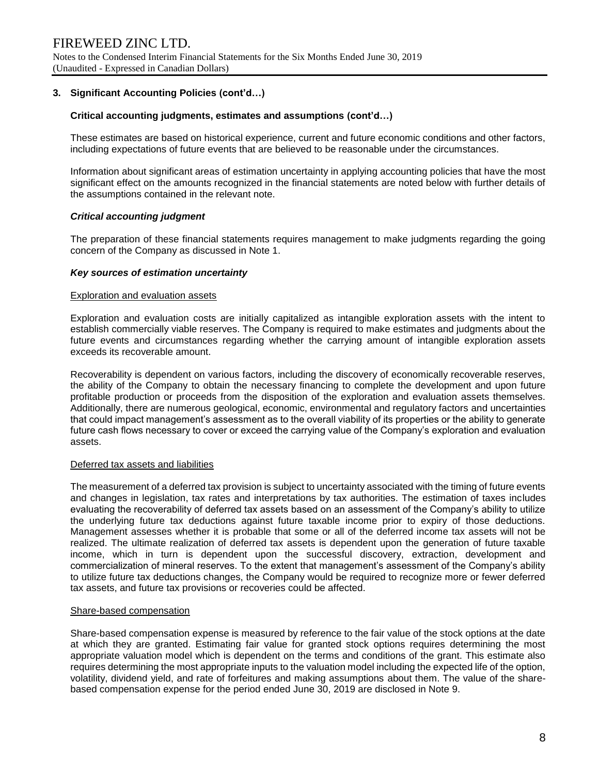## **3. Significant Accounting Policies (cont'd…)**

## **Critical accounting judgments, estimates and assumptions (cont'd…)**

These estimates are based on historical experience, current and future economic conditions and other factors, including expectations of future events that are believed to be reasonable under the circumstances.

Information about significant areas of estimation uncertainty in applying accounting policies that have the most significant effect on the amounts recognized in the financial statements are noted below with further details of the assumptions contained in the relevant note.

## *Critical accounting judgment*

The preparation of these financial statements requires management to make judgments regarding the going concern of the Company as discussed in Note 1.

## *Key sources of estimation uncertainty*

#### Exploration and evaluation assets

Exploration and evaluation costs are initially capitalized as intangible exploration assets with the intent to establish commercially viable reserves. The Company is required to make estimates and judgments about the future events and circumstances regarding whether the carrying amount of intangible exploration assets exceeds its recoverable amount.

Recoverability is dependent on various factors, including the discovery of economically recoverable reserves, the ability of the Company to obtain the necessary financing to complete the development and upon future profitable production or proceeds from the disposition of the exploration and evaluation assets themselves. Additionally, there are numerous geological, economic, environmental and regulatory factors and uncertainties that could impact management's assessment as to the overall viability of its properties or the ability to generate future cash flows necessary to cover or exceed the carrying value of the Company's exploration and evaluation assets.

## Deferred tax assets and liabilities

The measurement of a deferred tax provision is subject to uncertainty associated with the timing of future events and changes in legislation, tax rates and interpretations by tax authorities. The estimation of taxes includes evaluating the recoverability of deferred tax assets based on an assessment of the Company's ability to utilize the underlying future tax deductions against future taxable income prior to expiry of those deductions. Management assesses whether it is probable that some or all of the deferred income tax assets will not be realized. The ultimate realization of deferred tax assets is dependent upon the generation of future taxable income, which in turn is dependent upon the successful discovery, extraction, development and commercialization of mineral reserves. To the extent that management's assessment of the Company's ability to utilize future tax deductions changes, the Company would be required to recognize more or fewer deferred tax assets, and future tax provisions or recoveries could be affected.

## Share-based compensation

Share-based compensation expense is measured by reference to the fair value of the stock options at the date at which they are granted. Estimating fair value for granted stock options requires determining the most appropriate valuation model which is dependent on the terms and conditions of the grant. This estimate also requires determining the most appropriate inputs to the valuation model including the expected life of the option, volatility, dividend yield, and rate of forfeitures and making assumptions about them. The value of the sharebased compensation expense for the period ended June 30, 2019 are disclosed in Note 9.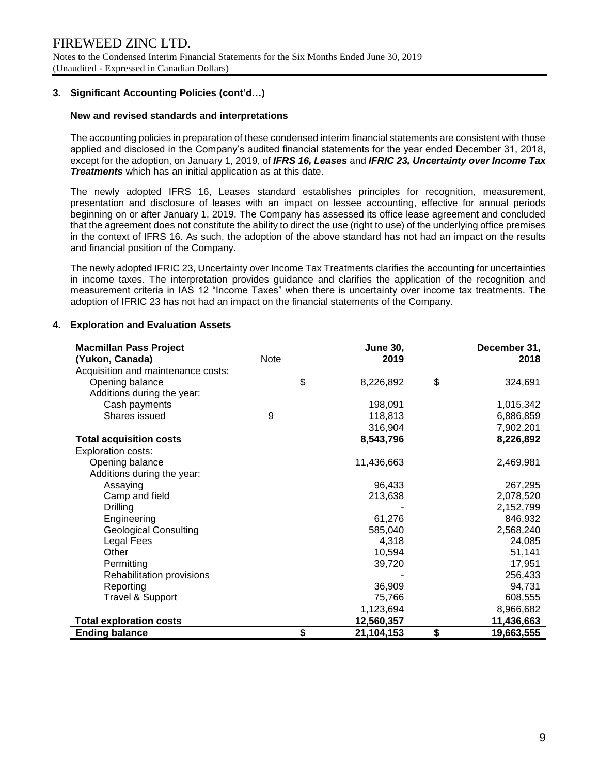## **3. Significant Accounting Policies (cont'd…)**

## **New and revised standards and interpretations**

The accounting policies in preparation of these condensed interim financial statements are consistent with those applied and disclosed in the Company's audited financial statements for the year ended December 31, 2018, except for the adoption, on January 1, 2019, of *IFRS 16, Leases* and *IFRIC 23, Uncertainty over Income Tax Treatments* which has an initial application as at this date.

The newly adopted IFRS 16, Leases standard establishes principles for recognition, measurement, presentation and disclosure of leases with an impact on lessee accounting, effective for annual periods beginning on or after January 1, 2019. The Company has assessed its office lease agreement and concluded that the agreement does not constitute the ability to direct the use (right to use) of the underlying office premises in the context of IFRS 16. As such, the adoption of the above standard has not had an impact on the results and financial position of the Company.

The newly adopted IFRIC 23, Uncertainty over Income Tax Treatments clarifies the accounting for uncertainties in income taxes. The interpretation provides guidance and clarifies the application of the recognition and measurement criteria in IAS 12 "Income Taxes" when there is uncertainty over income tax treatments. The adoption of IFRIC 23 has not had an impact on the financial statements of the Company.

| <b>Macmillan Pass Project</b>      |      | <b>June 30,</b> | December 31,     |
|------------------------------------|------|-----------------|------------------|
| (Yukon, Canada)                    | Note | 2019            | 2018             |
| Acquisition and maintenance costs: |      |                 |                  |
| Opening balance                    | \$   | 8,226,892       | \$<br>324,691    |
| Additions during the year:         |      |                 |                  |
| Cash payments                      |      | 198,091         | 1,015,342        |
| Shares issued                      | 9    | 118,813         | 6,886,859        |
|                                    |      | 316,904         | 7,902,201        |
| <b>Total acquisition costs</b>     |      | 8,543,796       | 8,226,892        |
| <b>Exploration costs:</b>          |      |                 |                  |
| Opening balance                    |      | 11,436,663      | 2,469,981        |
| Additions during the year:         |      |                 |                  |
| Assaying                           |      | 96,433          | 267,295          |
| Camp and field                     |      | 213,638         | 2,078,520        |
| <b>Drilling</b>                    |      |                 | 2,152,799        |
| Engineering                        |      | 61,276          | 846,932          |
| <b>Geological Consulting</b>       |      | 585,040         | 2,568,240        |
| Legal Fees                         |      | 4,318           | 24,085           |
| Other                              |      | 10,594          | 51,141           |
| Permitting                         |      | 39,720          | 17,951           |
| Rehabilitation provisions          |      |                 | 256,433          |
| Reporting                          |      | 36,909          | 94,731           |
| <b>Travel &amp; Support</b>        |      | 75,766          | 608,555          |
|                                    |      | 1,123,694       | 8,966,682        |
| <b>Total exploration costs</b>     |      | 12,560,357      | 11,436,663       |
| <b>Ending balance</b>              | \$   | 21,104,153      | \$<br>19,663,555 |

## **4. Exploration and Evaluation Assets**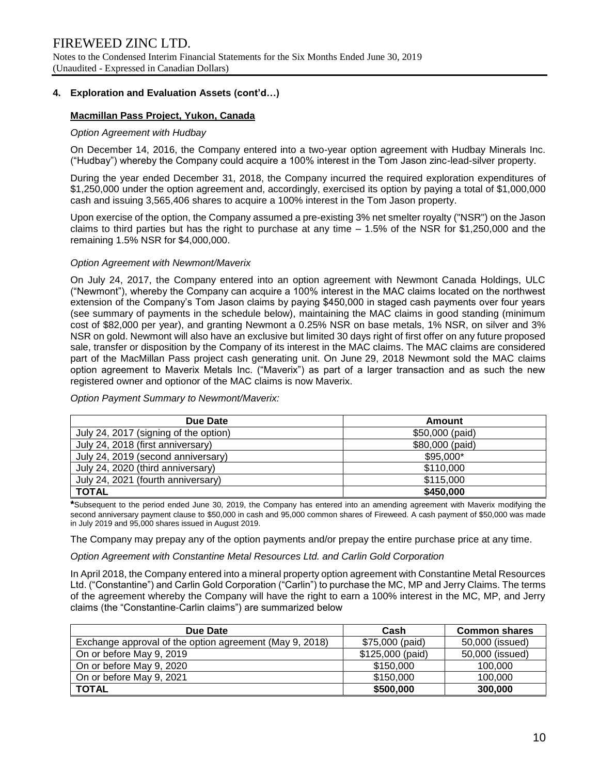## **4. Exploration and Evaluation Assets (cont'd…)**

## **Macmillan Pass Project, Yukon, Canada**

## *Option Agreement with Hudbay*

On December 14, 2016, the Company entered into a two-year option agreement with Hudbay Minerals Inc. ("Hudbay") whereby the Company could acquire a 100% interest in the Tom Jason zinc-lead-silver property.

During the year ended December 31, 2018, the Company incurred the required exploration expenditures of \$1,250,000 under the option agreement and, accordingly, exercised its option by paying a total of \$1,000,000 cash and issuing 3,565,406 shares to acquire a 100% interest in the Tom Jason property.

Upon exercise of the option, the Company assumed a pre-existing 3% net smelter royalty ("NSR") on the Jason claims to third parties but has the right to purchase at any time – 1.5% of the NSR for \$1,250,000 and the remaining 1.5% NSR for \$4,000,000.

## *Option Agreement with Newmont/Maverix*

On July 24, 2017, the Company entered into an option agreement with Newmont Canada Holdings, ULC ("Newmont"), whereby the Company can acquire a 100% interest in the MAC claims located on the northwest extension of the Company's Tom Jason claims by paying \$450,000 in staged cash payments over four years (see summary of payments in the schedule below), maintaining the MAC claims in good standing (minimum cost of \$82,000 per year), and granting Newmont a 0.25% NSR on base metals, 1% NSR, on silver and 3% NSR on gold. Newmont will also have an exclusive but limited 30 days right of first offer on any future proposed sale, transfer or disposition by the Company of its interest in the MAC claims. The MAC claims are considered part of the MacMillan Pass project cash generating unit. On June 29, 2018 Newmont sold the MAC claims option agreement to Maverix Metals Inc. ("Maverix") as part of a larger transaction and as such the new registered owner and optionor of the MAC claims is now Maverix.

| Due Date                              | Amount          |
|---------------------------------------|-----------------|
| July 24, 2017 (signing of the option) | \$50,000 (paid) |
| July 24, 2018 (first anniversary)     | \$80,000 (paid) |
| July 24, 2019 (second anniversary)    | \$95,000*       |
| July 24, 2020 (third anniversary)     | \$110,000       |
| July 24, 2021 (fourth anniversary)    | \$115,000       |
| <b>TOTAL</b>                          | \$450,000       |

*Option Payment Summary to Newmont/Maverix:*

**\***Subsequent to the period ended June 30, 2019, the Company has entered into an amending agreement with Maverix modifying the second anniversary payment clause to \$50,000 in cash and 95,000 common shares of Fireweed. A cash payment of \$50,000 was made in July 2019 and 95,000 shares issued in August 2019.

The Company may prepay any of the option payments and/or prepay the entire purchase price at any time.

## *Option Agreement with Constantine Metal Resources Ltd. and Carlin Gold Corporation*

In April 2018, the Company entered into a mineral property option agreement with Constantine Metal Resources Ltd. ("Constantine") and Carlin Gold Corporation ("Carlin") to purchase the MC, MP and Jerry Claims. The terms of the agreement whereby the Company will have the right to earn a 100% interest in the MC, MP, and Jerry claims (the "Constantine-Carlin claims") are summarized below

| Due Date                                                | Cash             | <b>Common shares</b> |  |  |
|---------------------------------------------------------|------------------|----------------------|--|--|
| Exchange approval of the option agreement (May 9, 2018) | \$75,000 (paid)  | 50,000 (issued)      |  |  |
| On or before May 9, 2019                                | \$125,000 (paid) | 50,000 (issued)      |  |  |
| On or before May 9, 2020                                | \$150,000        | 100,000              |  |  |
| On or before May 9, 2021                                | \$150,000        | 100,000              |  |  |
| <b>TOTAL</b>                                            | \$500,000        | 300,000              |  |  |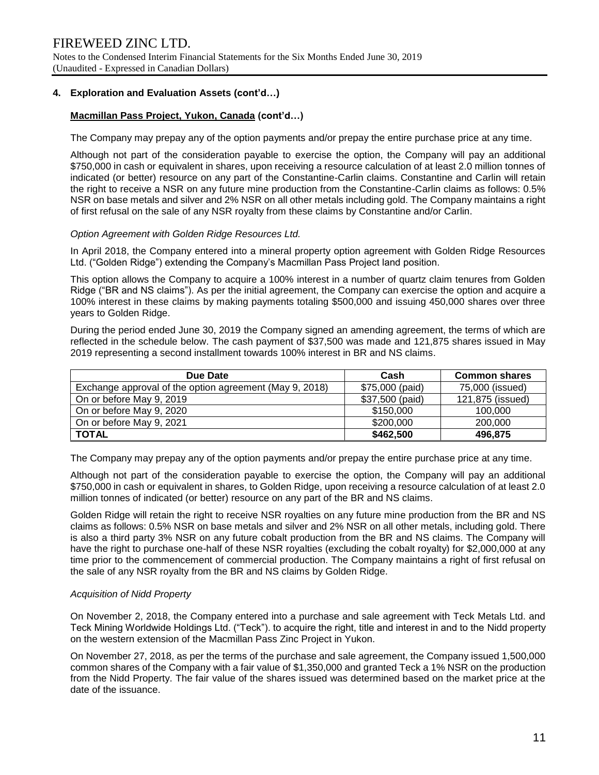## **4. Exploration and Evaluation Assets (cont'd…)**

## **Macmillan Pass Project, Yukon, Canada (cont'd…)**

The Company may prepay any of the option payments and/or prepay the entire purchase price at any time.

Although not part of the consideration payable to exercise the option, the Company will pay an additional \$750,000 in cash or equivalent in shares, upon receiving a resource calculation of at least 2.0 million tonnes of indicated (or better) resource on any part of the Constantine-Carlin claims. Constantine and Carlin will retain the right to receive a NSR on any future mine production from the Constantine-Carlin claims as follows: 0.5% NSR on base metals and silver and 2% NSR on all other metals including gold. The Company maintains a right of first refusal on the sale of any NSR royalty from these claims by Constantine and/or Carlin.

#### *Option Agreement with Golden Ridge Resources Ltd.*

In April 2018, the Company entered into a mineral property option agreement with Golden Ridge Resources Ltd. ("Golden Ridge") extending the Company's Macmillan Pass Project land position.

This option allows the Company to acquire a 100% interest in a number of quartz claim tenures from Golden Ridge ("BR and NS claims"). As per the initial agreement, the Company can exercise the option and acquire a 100% interest in these claims by making payments totaling \$500,000 and issuing 450,000 shares over three years to Golden Ridge.

During the period ended June 30, 2019 the Company signed an amending agreement, the terms of which are reflected in the schedule below. The cash payment of \$37,500 was made and 121,875 shares issued in May 2019 representing a second installment towards 100% interest in BR and NS claims.

| Due Date                                                | Cash            | <b>Common shares</b> |
|---------------------------------------------------------|-----------------|----------------------|
| Exchange approval of the option agreement (May 9, 2018) | \$75,000 (paid) | 75,000 (issued)      |
| On or before May 9, 2019                                | \$37,500 (paid) | 121,875 (issued)     |
| On or before May 9, 2020                                | \$150,000       | 100,000              |
| On or before May 9, 2021                                | \$200,000       | 200,000              |
| <b>TOTAL</b>                                            | \$462,500       | 496,875              |

The Company may prepay any of the option payments and/or prepay the entire purchase price at any time.

Although not part of the consideration payable to exercise the option, the Company will pay an additional \$750,000 in cash or equivalent in shares, to Golden Ridge, upon receiving a resource calculation of at least 2.0 million tonnes of indicated (or better) resource on any part of the BR and NS claims.

Golden Ridge will retain the right to receive NSR royalties on any future mine production from the BR and NS claims as follows: 0.5% NSR on base metals and silver and 2% NSR on all other metals, including gold. There is also a third party 3% NSR on any future cobalt production from the BR and NS claims. The Company will have the right to purchase one-half of these NSR royalties (excluding the cobalt royalty) for \$2,000,000 at any time prior to the commencement of commercial production. The Company maintains a right of first refusal on the sale of any NSR royalty from the BR and NS claims by Golden Ridge.

## *Acquisition of Nidd Property*

On November 2, 2018, the Company entered into a purchase and sale agreement with Teck Metals Ltd. and Teck Mining Worldwide Holdings Ltd. ("Teck"). to acquire the right, title and interest in and to the Nidd property on the western extension of the Macmillan Pass Zinc Project in Yukon.

On November 27, 2018, as per the terms of the purchase and sale agreement, the Company issued 1,500,000 common shares of the Company with a fair value of \$1,350,000 and granted Teck a 1% NSR on the production from the Nidd Property. The fair value of the shares issued was determined based on the market price at the date of the issuance.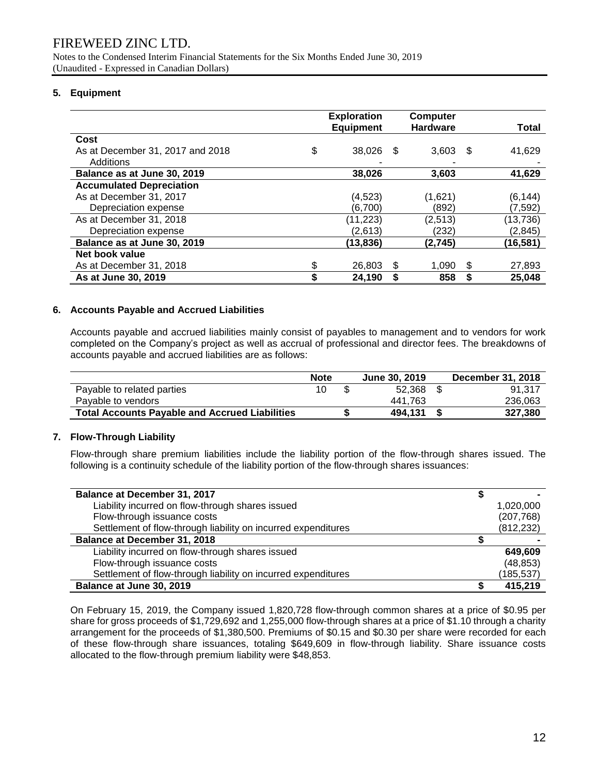Notes to the Condensed Interim Financial Statements for the Six Months Ended June 30, 2019 (Unaudited - Expressed in Canadian Dollars)

## **5. Equipment**

|                                  | <b>Exploration</b><br><b>Equipment</b> |      | Computer<br><b>Hardware</b> |      | Total     |
|----------------------------------|----------------------------------------|------|-----------------------------|------|-----------|
| Cost                             |                                        |      |                             |      |           |
| As at December 31, 2017 and 2018 | \$<br>38,026                           | - \$ | 3,603                       | - \$ | 41,629    |
| Additions                        |                                        |      |                             |      |           |
| Balance as at June 30, 2019      | 38,026                                 |      | 3,603                       |      | 41,629    |
| <b>Accumulated Depreciation</b>  |                                        |      |                             |      |           |
| As at December 31, 2017          | (4, 523)                               |      | (1,621)                     |      | (6, 144)  |
| Depreciation expense             | (6,700)                                |      | (892)                       |      | (7,592)   |
| As at December 31, 2018          | (11, 223)                              |      | (2,513)                     |      | (13, 736) |
| Depreciation expense             | (2,613)                                |      | (232)                       |      | (2, 845)  |
| Balance as at June 30, 2019      | (13, 836)                              |      | (2,745)                     |      | (16,581)  |
| Net book value                   |                                        |      |                             |      |           |
| As at December 31, 2018          | \$<br>26,803                           | S    | 1.090                       | S    | 27,893    |
| As at June 30, 2019              | 24,190                                 |      | 858                         |      | 25,048    |

## **6. Accounts Payable and Accrued Liabilities**

Accounts payable and accrued liabilities mainly consist of payables to management and to vendors for work completed on the Company's project as well as accrual of professional and director fees. The breakdowns of accounts payable and accrued liabilities are as follows:

|                                                       | <b>Note</b> | June 30, 2019 | December 31, 2018 |
|-------------------------------------------------------|-------------|---------------|-------------------|
| Payable to related parties                            |             | 52.368 \$     | 91.317            |
| Payable to vendors                                    |             | 441.763       | 236.063           |
| <b>Total Accounts Payable and Accrued Liabilities</b> |             | 494.131       | 327.380           |

## **7. Flow-Through Liability**

Flow-through share premium liabilities include the liability portion of the flow-through shares issued. The following is a continuity schedule of the liability portion of the flow-through shares issuances:

| <b>Balance at December 31, 2017</b>                           |            |
|---------------------------------------------------------------|------------|
| Liability incurred on flow-through shares issued              | 1,020,000  |
| Flow-through issuance costs                                   | (207, 768) |
| Settlement of flow-through liability on incurred expenditures | (812, 232) |
| <b>Balance at December 31, 2018</b>                           |            |
| Liability incurred on flow-through shares issued              | 649.609    |
| Flow-through issuance costs                                   | (48, 853)  |
| Settlement of flow-through liability on incurred expenditures | (185, 537) |
| Balance at June 30, 2019                                      | 415,219    |

On February 15, 2019, the Company issued 1,820,728 flow-through common shares at a price of \$0.95 per share for gross proceeds of \$1,729,692 and 1,255,000 flow-through shares at a price of \$1.10 through a charity arrangement for the proceeds of \$1,380,500. Premiums of \$0.15 and \$0.30 per share were recorded for each of these flow-through share issuances, totaling \$649,609 in flow-through liability. Share issuance costs allocated to the flow-through premium liability were \$48,853.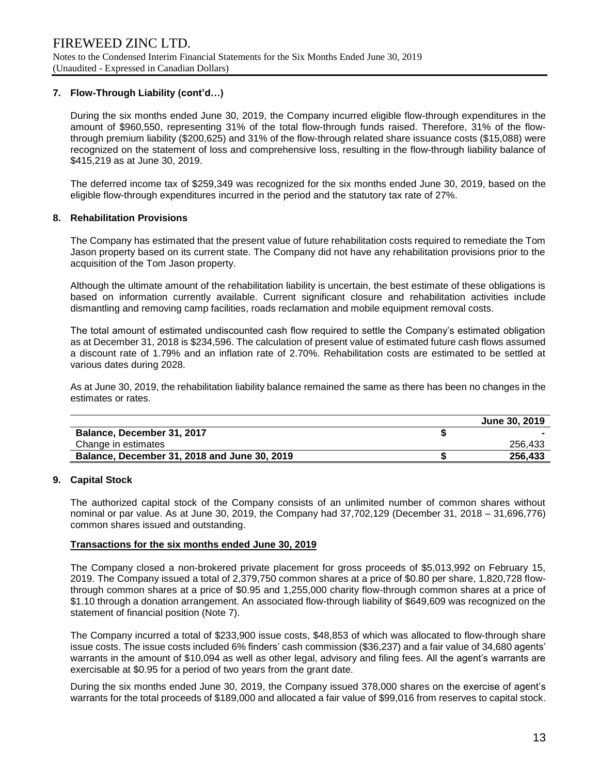## **7. Flow-Through Liability (cont'd…)**

During the six months ended June 30, 2019, the Company incurred eligible flow-through expenditures in the amount of \$960,550, representing 31% of the total flow-through funds raised. Therefore, 31% of the flowthrough premium liability (\$200,625) and 31% of the flow-through related share issuance costs (\$15,088) were recognized on the statement of loss and comprehensive loss, resulting in the flow-through liability balance of \$415,219 as at June 30, 2019.

The deferred income tax of \$259,349 was recognized for the six months ended June 30, 2019, based on the eligible flow-through expenditures incurred in the period and the statutory tax rate of 27%.

## **8. Rehabilitation Provisions**

The Company has estimated that the present value of future rehabilitation costs required to remediate the Tom Jason property based on its current state. The Company did not have any rehabilitation provisions prior to the acquisition of the Tom Jason property.

Although the ultimate amount of the rehabilitation liability is uncertain, the best estimate of these obligations is based on information currently available. Current significant closure and rehabilitation activities include dismantling and removing camp facilities, roads reclamation and mobile equipment removal costs.

The total amount of estimated undiscounted cash flow required to settle the Company's estimated obligation as at December 31, 2018 is \$234,596. The calculation of present value of estimated future cash flows assumed a discount rate of 1.79% and an inflation rate of 2.70%. Rehabilitation costs are estimated to be settled at various dates during 2028.

As at June 30, 2019, the rehabilitation liability balance remained the same as there has been no changes in the estimates or rates.

|                                              | June 30, 2019 |
|----------------------------------------------|---------------|
| Balance, December 31, 2017                   |               |
| Change in estimates                          | 256.433       |
| Balance, December 31, 2018 and June 30, 2019 | 256.433       |

## **9. Capital Stock**

The authorized capital stock of the Company consists of an unlimited number of common shares without nominal or par value. As at June 30, 2019, the Company had 37,702,129 (December 31, 2018 – 31,696,776) common shares issued and outstanding.

## **Transactions for the six months ended June 30, 2019**

The Company closed a non-brokered private placement for gross proceeds of \$5,013,992 on February 15, 2019. The Company issued a total of 2,379,750 common shares at a price of \$0.80 per share, 1,820,728 flowthrough common shares at a price of \$0.95 and 1,255,000 charity flow-through common shares at a price of \$1.10 through a donation arrangement. An associated flow-through liability of \$649,609 was recognized on the statement of financial position (Note 7).

The Company incurred a total of \$233,900 issue costs, \$48,853 of which was allocated to flow-through share issue costs. The issue costs included 6% finders' cash commission (\$36,237) and a fair value of 34,680 agents' warrants in the amount of \$10,094 as well as other legal, advisory and filing fees. All the agent's warrants are exercisable at \$0.95 for a period of two years from the grant date.

During the six months ended June 30, 2019, the Company issued 378,000 shares on the exercise of agent's warrants for the total proceeds of \$189,000 and allocated a fair value of \$99,016 from reserves to capital stock.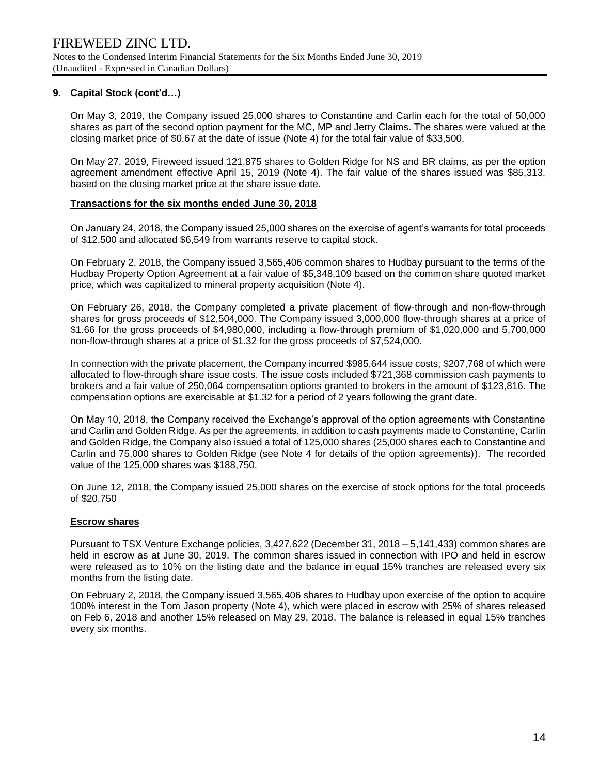## **9. Capital Stock (cont'd…)**

On May 3, 2019, the Company issued 25,000 shares to Constantine and Carlin each for the total of 50,000 shares as part of the second option payment for the MC, MP and Jerry Claims. The shares were valued at the closing market price of \$0.67 at the date of issue (Note 4) for the total fair value of \$33,500.

On May 27, 2019, Fireweed issued 121,875 shares to Golden Ridge for NS and BR claims, as per the option agreement amendment effective April 15, 2019 (Note 4). The fair value of the shares issued was \$85,313, based on the closing market price at the share issue date.

## **Transactions for the six months ended June 30, 2018**

On January 24, 2018, the Company issued 25,000 shares on the exercise of agent's warrants for total proceeds of \$12,500 and allocated \$6,549 from warrants reserve to capital stock.

On February 2, 2018, the Company issued 3,565,406 common shares to Hudbay pursuant to the terms of the Hudbay Property Option Agreement at a fair value of \$5,348,109 based on the common share quoted market price, which was capitalized to mineral property acquisition (Note 4).

On February 26, 2018, the Company completed a private placement of flow-through and non-flow-through shares for gross proceeds of \$12,504,000. The Company issued 3,000,000 flow-through shares at a price of \$1.66 for the gross proceeds of \$4,980,000, including a flow-through premium of \$1,020,000 and 5,700,000 non-flow-through shares at a price of \$1.32 for the gross proceeds of \$7,524,000.

In connection with the private placement, the Company incurred \$985,644 issue costs, \$207,768 of which were allocated to flow-through share issue costs. The issue costs included \$721,368 commission cash payments to brokers and a fair value of 250,064 compensation options granted to brokers in the amount of \$123,816. The compensation options are exercisable at \$1.32 for a period of 2 years following the grant date.

On May 10, 2018, the Company received the Exchange's approval of the option agreements with Constantine and Carlin and Golden Ridge. As per the agreements, in addition to cash payments made to Constantine, Carlin and Golden Ridge, the Company also issued a total of 125,000 shares (25,000 shares each to Constantine and Carlin and 75,000 shares to Golden Ridge (see Note 4 for details of the option agreements)). The recorded value of the 125,000 shares was \$188,750.

On June 12, 2018, the Company issued 25,000 shares on the exercise of stock options for the total proceeds of \$20,750

## **Escrow shares**

Pursuant to TSX Venture Exchange policies, 3,427,622 (December 31, 2018 – 5,141,433) common shares are held in escrow as at June 30, 2019. The common shares issued in connection with IPO and held in escrow were released as to 10% on the listing date and the balance in equal 15% tranches are released every six months from the listing date.

On February 2, 2018, the Company issued 3,565,406 shares to Hudbay upon exercise of the option to acquire 100% interest in the Tom Jason property (Note 4), which were placed in escrow with 25% of shares released on Feb 6, 2018 and another 15% released on May 29, 2018. The balance is released in equal 15% tranches every six months.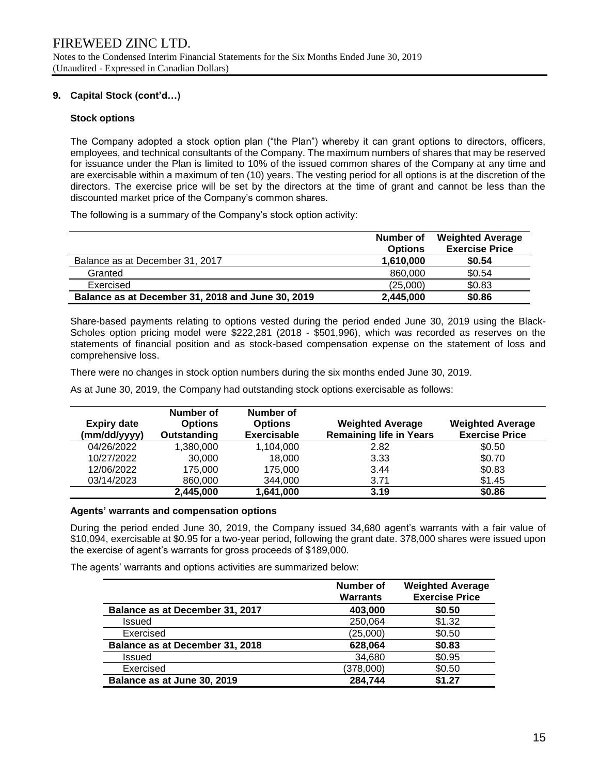## **9. Capital Stock (cont'd…)**

## **Stock options**

The Company adopted a stock option plan ("the Plan") whereby it can grant options to directors, officers, employees, and technical consultants of the Company. The maximum numbers of shares that may be reserved for issuance under the Plan is limited to 10% of the issued common shares of the Company at any time and are exercisable within a maximum of ten (10) years. The vesting period for all options is at the discretion of the directors. The exercise price will be set by the directors at the time of grant and cannot be less than the discounted market price of the Company's common shares.

The following is a summary of the Company's stock option activity:

|                                                   | Number of<br><b>Options</b> | <b>Weighted Average</b><br><b>Exercise Price</b> |
|---------------------------------------------------|-----------------------------|--------------------------------------------------|
| Balance as at December 31, 2017                   | 1.610.000                   | \$0.54                                           |
| Granted                                           | 860,000                     | \$0.54                                           |
| Exercised                                         | (25,000)                    | \$0.83                                           |
| Balance as at December 31, 2018 and June 30, 2019 | 2,445,000                   | \$0.86                                           |

Share-based payments relating to options vested during the period ended June 30, 2019 using the Black-Scholes option pricing model were \$222,281 (2018 - \$501,996), which was recorded as reserves on the statements of financial position and as stock-based compensation expense on the statement of loss and comprehensive loss.

There were no changes in stock option numbers during the six months ended June 30, 2019.

As at June 30, 2019, the Company had outstanding stock options exercisable as follows:

| <b>Expiry date</b><br>(mm/dd/yyyy) | Number of<br><b>Options</b><br>Outstanding | Number of<br><b>Options</b><br><b>Exercisable</b> | <b>Weighted Average</b><br><b>Remaining life in Years</b> | <b>Weighted Average</b><br><b>Exercise Price</b> |
|------------------------------------|--------------------------------------------|---------------------------------------------------|-----------------------------------------------------------|--------------------------------------------------|
| 04/26/2022                         | 1,380,000                                  | 1,104,000                                         | 2.82                                                      | \$0.50                                           |
| 10/27/2022                         | 30,000                                     | 18,000                                            | 3.33                                                      | \$0.70                                           |
| 12/06/2022                         | 175,000                                    | 175,000                                           | 3.44                                                      | \$0.83                                           |
| 03/14/2023                         | 860,000                                    | 344,000                                           | 3.71                                                      | \$1.45                                           |
|                                    | 2,445,000                                  | 1,641,000                                         | 3.19                                                      | \$0.86                                           |

## **Agents' warrants and compensation options**

During the period ended June 30, 2019, the Company issued 34,680 agent's warrants with a fair value of \$10,094, exercisable at \$0.95 for a two-year period, following the grant date. 378,000 shares were issued upon the exercise of agent's warrants for gross proceeds of \$189,000.

The agents' warrants and options activities are summarized below:

|                                 | <b>Number of</b><br><b>Warrants</b> | <b>Weighted Average</b><br><b>Exercise Price</b> |
|---------------------------------|-------------------------------------|--------------------------------------------------|
| Balance as at December 31, 2017 | 403,000                             | \$0.50                                           |
| <b>Issued</b>                   | 250,064                             | \$1.32                                           |
| Exercised                       | (25,000)                            | \$0.50                                           |
| Balance as at December 31, 2018 | 628,064                             | \$0.83                                           |
| <b>Issued</b>                   | 34,680                              | \$0.95                                           |
| Exercised                       | (378,000)                           | \$0.50                                           |
| Balance as at June 30, 2019     | 284,744                             | \$1.27                                           |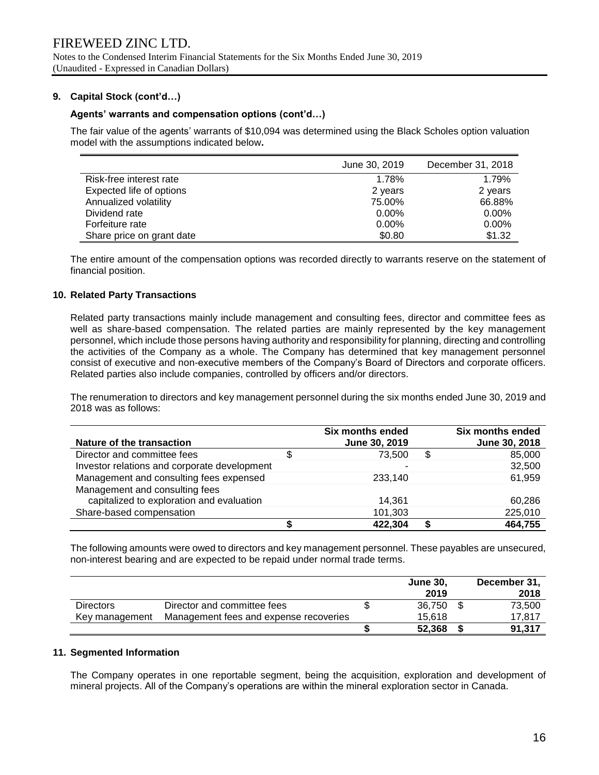## **9. Capital Stock (cont'd…)**

## **Agents' warrants and compensation options (cont'd…)**

The fair value of the agents' warrants of \$10,094 was determined using the Black Scholes option valuation model with the assumptions indicated below**.**

|                           | June 30, 2019 | December 31, 2018 |
|---------------------------|---------------|-------------------|
| Risk-free interest rate   | 1.78%         | 1.79%             |
| Expected life of options  | 2 years       | 2 years           |
| Annualized volatility     | 75.00%        | 66.88%            |
| Dividend rate             | $0.00\%$      | $0.00\%$          |
| Forfeiture rate           | $0.00\%$      | $0.00\%$          |
| Share price on grant date | \$0.80        | \$1.32            |

The entire amount of the compensation options was recorded directly to warrants reserve on the statement of financial position.

#### **10. Related Party Transactions**

Related party transactions mainly include management and consulting fees, director and committee fees as well as share-based compensation. The related parties are mainly represented by the key management personnel, which include those persons having authority and responsibility for planning, directing and controlling the activities of the Company as a whole. The Company has determined that key management personnel consist of executive and non-executive members of the Company's Board of Directors and corporate officers. Related parties also include companies, controlled by officers and/or directors.

The renumeration to directors and key management personnel during the six months ended June 30, 2019 and 2018 was as follows:

| Nature of the transaction                                                   | Six months ended<br>June 30, 2019 |    | Six months ended<br>June 30, 2018 |
|-----------------------------------------------------------------------------|-----------------------------------|----|-----------------------------------|
| Director and committee fees                                                 | \$<br>73.500                      | \$ | 85,000                            |
| Investor relations and corporate development                                | -                                 |    | 32,500                            |
| Management and consulting fees expensed                                     | 233,140                           |    | 61,959                            |
| Management and consulting fees<br>capitalized to exploration and evaluation | 14.361                            |    | 60.286                            |
|                                                                             |                                   |    |                                   |
| Share-based compensation                                                    | 101,303                           |    | 225,010                           |
|                                                                             | 422,304                           | S  | 464,755                           |

The following amounts were owed to directors and key management personnel. These payables are unsecured, non-interest bearing and are expected to be repaid under normal trade terms.

|                  |                                        | <b>June 30,</b><br>2019 | December 31,<br>2018 |
|------------------|----------------------------------------|-------------------------|----------------------|
| <b>Directors</b> | Director and committee fees            | 36.750                  | 73,500               |
| Key management   | Management fees and expense recoveries | 15.618                  | 17.817               |
|                  |                                        | 52.368                  | 91.317               |

#### **11. Segmented Information**

The Company operates in one reportable segment, being the acquisition, exploration and development of mineral projects. All of the Company's operations are within the mineral exploration sector in Canada.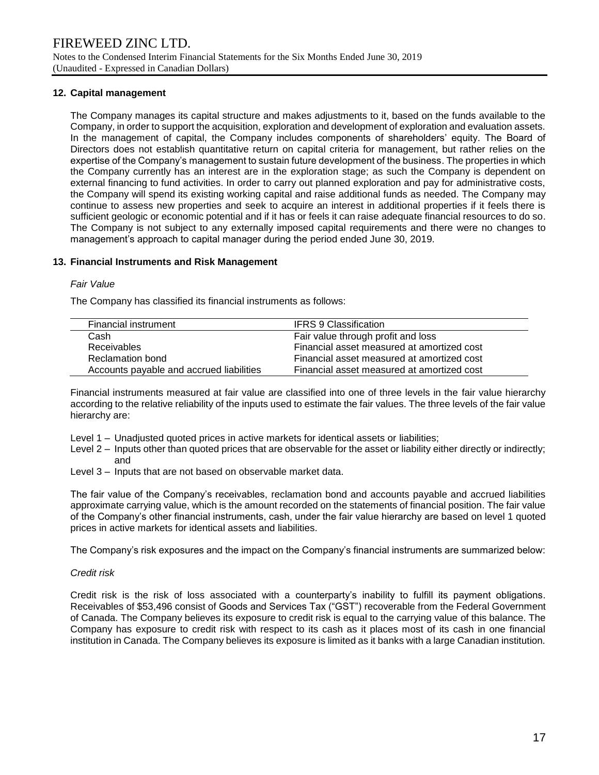## **12. Capital management**

The Company manages its capital structure and makes adjustments to it, based on the funds available to the Company, in order to support the acquisition, exploration and development of exploration and evaluation assets. In the management of capital, the Company includes components of shareholders' equity. The Board of Directors does not establish quantitative return on capital criteria for management, but rather relies on the expertise of the Company's management to sustain future development of the business. The properties in which the Company currently has an interest are in the exploration stage; as such the Company is dependent on external financing to fund activities. In order to carry out planned exploration and pay for administrative costs, the Company will spend its existing working capital and raise additional funds as needed. The Company may continue to assess new properties and seek to acquire an interest in additional properties if it feels there is sufficient geologic or economic potential and if it has or feels it can raise adequate financial resources to do so. The Company is not subject to any externally imposed capital requirements and there were no changes to management's approach to capital manager during the period ended June 30, 2019.

## **13. Financial Instruments and Risk Management**

#### *Fair Value*

The Company has classified its financial instruments as follows:

| Financial instrument                     | <b>IFRS 9 Classification</b>               |
|------------------------------------------|--------------------------------------------|
| Cash                                     | Fair value through profit and loss         |
| <b>Receivables</b>                       | Financial asset measured at amortized cost |
| Reclamation bond                         | Financial asset measured at amortized cost |
| Accounts payable and accrued liabilities | Financial asset measured at amortized cost |

Financial instruments measured at fair value are classified into one of three levels in the fair value hierarchy according to the relative reliability of the inputs used to estimate the fair values. The three levels of the fair value hierarchy are:

- Level 1 Unadjusted quoted prices in active markets for identical assets or liabilities;
- Level 2 Inputs other than quoted prices that are observable for the asset or liability either directly or indirectly; and
- Level 3 Inputs that are not based on observable market data.

The fair value of the Company's receivables, reclamation bond and accounts payable and accrued liabilities approximate carrying value, which is the amount recorded on the statements of financial position. The fair value of the Company's other financial instruments, cash, under the fair value hierarchy are based on level 1 quoted prices in active markets for identical assets and liabilities.

The Company's risk exposures and the impact on the Company's financial instruments are summarized below:

## *Credit risk*

Credit risk is the risk of loss associated with a counterparty's inability to fulfill its payment obligations. Receivables of \$53,496 consist of Goods and Services Tax ("GST") recoverable from the Federal Government of Canada. The Company believes its exposure to credit risk is equal to the carrying value of this balance. The Company has exposure to credit risk with respect to its cash as it places most of its cash in one financial institution in Canada. The Company believes its exposure is limited as it banks with a large Canadian institution.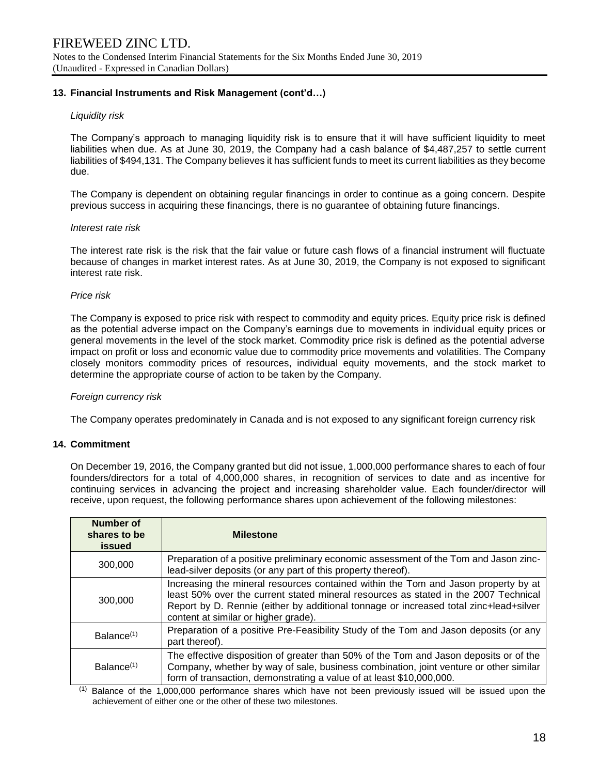## **13. Financial Instruments and Risk Management (cont'd…)**

## *Liquidity risk*

The Company's approach to managing liquidity risk is to ensure that it will have sufficient liquidity to meet liabilities when due. As at June 30, 2019, the Company had a cash balance of \$4,487,257 to settle current liabilities of \$494,131. The Company believes it has sufficient funds to meet its current liabilities as they become due.

The Company is dependent on obtaining regular financings in order to continue as a going concern. Despite previous success in acquiring these financings, there is no guarantee of obtaining future financings.

## *Interest rate risk*

The interest rate risk is the risk that the fair value or future cash flows of a financial instrument will fluctuate because of changes in market interest rates. As at June 30, 2019, the Company is not exposed to significant interest rate risk.

#### *Price risk*

The Company is exposed to price risk with respect to commodity and equity prices. Equity price risk is defined as the potential adverse impact on the Company's earnings due to movements in individual equity prices or general movements in the level of the stock market. Commodity price risk is defined as the potential adverse impact on profit or loss and economic value due to commodity price movements and volatilities. The Company closely monitors commodity prices of resources, individual equity movements, and the stock market to determine the appropriate course of action to be taken by the Company.

## *Foreign currency risk*

The Company operates predominately in Canada and is not exposed to any significant foreign currency risk

## **14. Commitment**

On December 19, 2016, the Company granted but did not issue, 1,000,000 performance shares to each of four founders/directors for a total of 4,000,000 shares, in recognition of services to date and as incentive for continuing services in advancing the project and increasing shareholder value. Each founder/director will receive, upon request, the following performance shares upon achievement of the following milestones:

| Number of<br>shares to be<br>issued | <b>Milestone</b>                                                                                                                                                                                                                                                                                           |
|-------------------------------------|------------------------------------------------------------------------------------------------------------------------------------------------------------------------------------------------------------------------------------------------------------------------------------------------------------|
| 300,000                             | Preparation of a positive preliminary economic assessment of the Tom and Jason zinc-<br>lead-silver deposits (or any part of this property thereof).                                                                                                                                                       |
| 300,000                             | Increasing the mineral resources contained within the Tom and Jason property by at<br>least 50% over the current stated mineral resources as stated in the 2007 Technical<br>Report by D. Rennie (either by additional tonnage or increased total zinc+lead+silver<br>content at similar or higher grade). |
| Balance <sup>(1)</sup>              | Preparation of a positive Pre-Feasibility Study of the Tom and Jason deposits (or any<br>part thereof).                                                                                                                                                                                                    |
| Balance <sup>(1)</sup>              | The effective disposition of greater than 50% of the Tom and Jason deposits or of the<br>Company, whether by way of sale, business combination, joint venture or other similar<br>form of transaction, demonstrating a value of at least \$10,000,000.                                                     |

(1) Balance of the 1,000,000 performance shares which have not been previously issued will be issued upon the achievement of either one or the other of these two milestones.